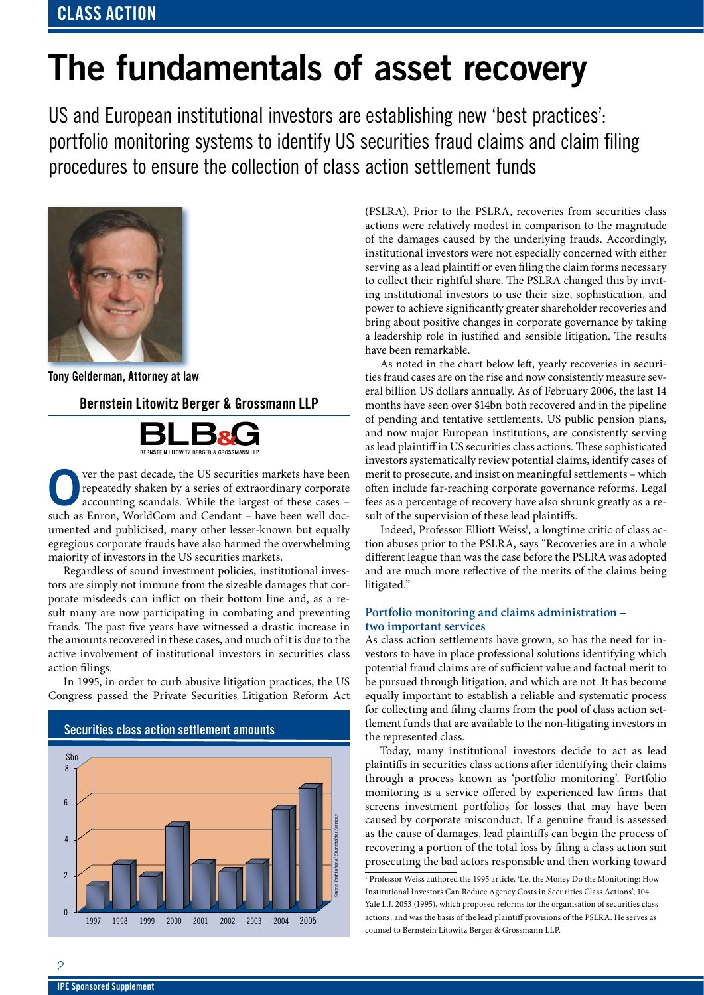# **The fundamentals of asset recovery**

US and European institutional investors are establishing new 'best practices': portfolio monitoring systems to identify US securities fraud claims and claim filing procedures to ensure the collection of class action settlement funds



**Tony Gelderman, Attorney at law**

## **Bernstein Litowitz Berger & Grossmann LLP**



**O**ver the past decade, the US securities markets have been<br>
repeatedly shaken by a series of extraordinary corporate<br>
accounting scandals. While the largest of these cases –<br>
when a France WorldCom and Condant repeatedly shaken by a series of extraordinary corporate such as Enron, WorldCom and Cendant – have been well documented and publicised, many other lesser-known but equally egregious corporate frauds have also harmed the overwhelming majority of investors in the US securities markets.

Regardless of sound investment policies, institutional investors are simply not immune from the sizeable damages that corporate misdeeds can inflict on their bottom line and, as a result many are now participating in combating and preventing frauds. The past five years have witnessed a drastic increase in the amounts recovered in these cases, and much of it is due to the active involvement of institutional investors in securities class action filings.

In 1995, in order to curb abusive litigation practices, the US Congress passed the Private Securities Litigation Reform Act



(PSLRA). Prior to the PSLRA, recoveries from securities class actions were relatively modest in comparison to the magnitude of the damages caused by the underlying frauds. Accordingly, institutional investors were not especially concerned with either serving as a lead plaintiff or even filing the claim forms necessary to collect their rightful share. The PSLRA changed this by inviting institutional investors to use their size, sophistication, and power to achieve significantly greater shareholder recoveries and bring about positive changes in corporate governance by taking a leadership role in justified and sensible litigation. The results have been remarkable.

As noted in the chart below left, yearly recoveries in securities fraud cases are on the rise and now consistently measure several billion US dollars annually. As of February 2006, the last 14 months have seen over \$14bn both recovered and in the pipeline of pending and tentative settlements. US public pension plans, and now major European institutions, are consistently serving as lead plaintiff in US securities class actions. These sophisticated investors systematically review potential claims, identify cases of merit to prosecute, and insist on meaningful settlements – which often include far-reaching corporate governance reforms. Legal fees as a percentage of recovery have also shrunk greatly as a result of the supervision of these lead plaintiffs.

Indeed, Professor Elliott Weiss<sup>1</sup>, a longtime critic of class action abuses prior to the PSLRA, says "Recoveries are in a whole different league than was the case before the PSLRA was adopted and are much more reflective of the merits of the claims being litigated."

## **Portfolio monitoring and claims administration – two important services**

As class action settlements have grown, so has the need for investors to have in place professional solutions identifying which potential fraud claims are of sufficient value and factual merit to be pursued through litigation, and which are not. It has become equally important to establish a reliable and systematic process for collecting and filing claims from the pool of class action settlement funds that are available to the non-litigating investors in the represented class.

Today, many institutional investors decide to act as lead plaintiffs in securities class actions after identifying their claims through a process known as 'portfolio monitoring'. Portfolio monitoring is a service offered by experienced law firms that screens investment portfolios for losses that may have been caused by corporate misconduct. If a genuine fraud is assessed as the cause of damages, lead plaintiffs can begin the process of recovering a portion of the total loss by filing a class action suit prosecuting the bad actors responsible and then working toward

<sup>1</sup> Professor Weiss authored the 1995 article, 'Let the Money Do the Monitoring: How Institutional Investors Can Reduce Agency Costs in Securities Class Actions', 104 Yale L.J. 2053 (1995), which proposed reforms for the organisation of securities class actions, and was the basis of the lead plaintiff provisions of the PSLRA. He serves as counsel to Bernstein Litowitz Berger & Grossmann LLP.

 $\overline{2}$